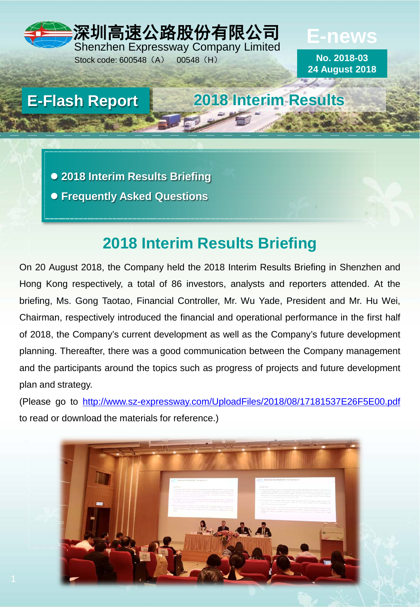# 深圳高速公路股份有限公司 Shenzhen Expressway Company Limited

Stock code: 600548 (A) 00548 (H)

**No. 2018-03 24 August 2018**

**E-news**

**E-Flash Report 2018 Interim Results**

 **2018 Interim Results Briefing Frequently Asked Questions**

# **2018 Interim Results Briefing**

On 20 August 2018, the Company held the 2018 Interim Results Briefing in Shenzhen and Hong Kong respectively, a total of 86 investors, analysts and reporters attended. At the briefing, Ms. Gong Taotao, Financial Controller, Mr. Wu Yade, President and Mr. Hu Wei, Chairman, respectively introduced the financial and operational performance in the first half of 2018, the Company's current development as well as the Company's future development planning. Thereafter, there was a good communication between the Company management and the participants around the topics such as progress of projects and future development plan and strategy.

(Please go to <http://www.sz-expressway.com/UploadFiles/2018/08/17181537E26F5E00.pdf> to read or download the materials for reference.)

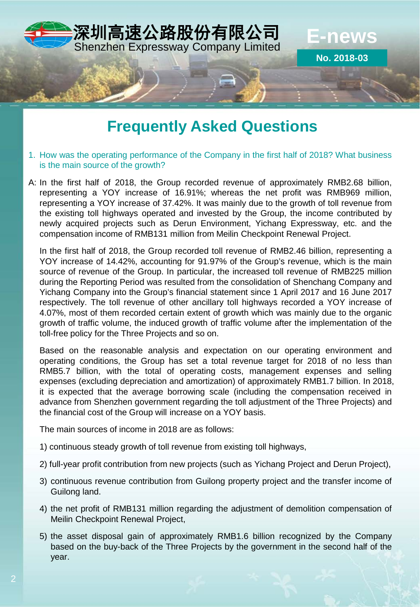

# **Frequently Asked Questions**

- 1. How was the operating performance of the Company in the first half of 2018? What business is the main source of the growth?
- A: In the first half of 2018, the Group recorded revenue of approximately RMB2.68 billion, representing a YOY increase of 16.91%; whereas the net profit was RMB969 million, representing a YOY increase of 37.42%. It was mainly due to the growth of toll revenue from the existing toll highways operated and invested by the Group, the income contributed by newly acquired projects such as Derun Environment, Yichang Expressway, etc. and the compensation income of RMB131 million from Meilin Checkpoint Renewal Project.

In the first half of 2018, the Group recorded toll revenue of RMB2.46 billion, representing a YOY increase of 14.42%, accounting for 91.97% of the Group's revenue, which is the main source of revenue of the Group. In particular, the increased toll revenue of RMB225 million during the Reporting Period was resulted from the consolidation of Shenchang Company and Yichang Company into the Group's financial statement since 1 April 2017 and 16 June 2017 respectively. The toll revenue of other ancillary toll highways recorded a YOY increase of 4.07%, most of them recorded certain extent of growth which was mainly due to the organic growth of traffic volume, the induced growth of traffic volume after the implementation of the toll-free policy for the Three Projects and so on.

Based on the reasonable analysis and expectation on our operating environment and operating conditions, the Group has set a total revenue target for 2018 of no less than RMB5.7 billion, with the total of operating costs, management expenses and selling expenses (excluding depreciation and amortization) of approximately RMB1.7 billion. In 2018, it is expected that the average borrowing scale (including the compensation received in advance from Shenzhen government regarding the toll adjustment of the Three Projects) and the financial cost of the Group will increase on a YOY basis.

The main sources of income in 2018 are as follows:

- 1) continuous steady growth of toll revenue from existing toll highways,
- 2) full-year profit contribution from new projects (such as Yichang Project and Derun Project),
- 3) continuous revenue contribution from Guilong property project and the transfer income of Guilong land.
- 4) the net profit of RMB131 million regarding the adjustment of demolition compensation of Meilin Checkpoint Renewal Project,
- 5) the asset disposal gain of approximately RMB1.6 billion recognized by the Company based on the buy-back of the Three Projects by the government in the second half of the year.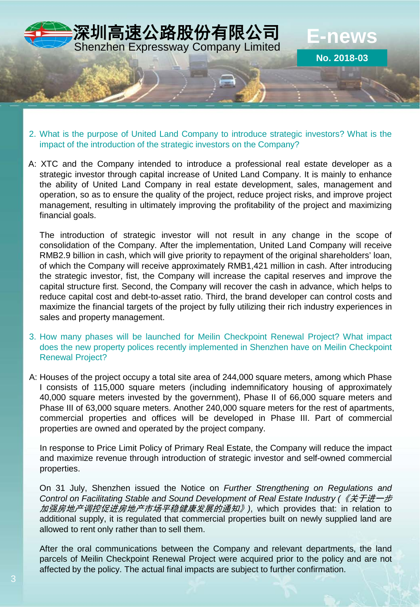

- 2. What is the purpose of United Land Company to introduce strategic investors? What is the impact of the introduction of the strategic investors on the Company?
- A: XTC and the Company intended to introduce a professional real estate developer as a strategic investor through capital increase of United Land Company. It is mainly to enhance the ability of United Land Company in real estate development, sales, management and operation, so as to ensure the quality of the project, reduce project risks, and improve project management, resulting in ultimately improving the profitability of the project and maximizing financial goals.

The introduction of strategic investor will not result in any change in the scope of consolidation of the Company. After the implementation, United Land Company will receive RMB2.9 billion in cash, which will give priority to repayment of the original shareholders' loan, of which the Company will receive approximately RMB1,421 million in cash. After introducing the strategic investor, fist, the Company will increase the capital reserves and improve the capital structure first. Second, the Company will recover the cash in advance, which helps to reduce capital cost and debt-to-asset ratio. Third, the brand developer can control costs and maximize the financial targets of the project by fully utilizing their rich industry experiences in sales and property management.

- 3. How many phases will be launched for Meilin Checkpoint Renewal Project? What impact does the new property polices recently implemented in Shenzhen have on Meilin Checkpoint Renewal Project?
- A: Houses of the project occupy a total site area of 244,000 square meters, among which Phase I consists of 115,000 square meters (including indemnificatory housing of approximately 40,000 square meters invested by the government), Phase II of 66,000 square meters and Phase III of 63,000 square meters. Another 240,000 square meters for the rest of apartments, commercial properties and offices will be developed in Phase III. Part of commercial properties are owned and operated by the project company.

In response to Price Limit Policy of Primary Real Estate, the Company will reduce the impact and maximize revenue through introduction of strategic investor and self-owned commercial properties.

On 31 July, Shenzhen issued the Notice on *Further Strengthening on Regulations and Control on Facilitating Stable and Sound Development of Real Estate Industry (*《关于进一步 加强房地产调控促进房地产市场平稳健康发展的通知》*)*, which provides that: in relation to additional supply, it is regulated that commercial properties built on newly supplied land are allowed to rent only rather than to sell them.

After the oral communications between the Company and relevant departments, the land parcels of Meilin Checkpoint Renewal Project were acquired prior to the policy and are not affected by the policy. The actual final impacts are subject to further confirmation.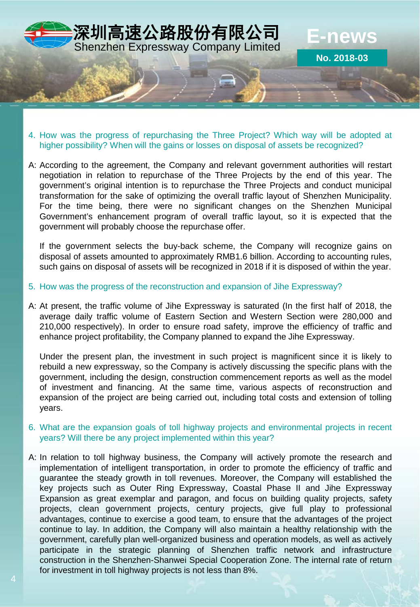

- 4. How was the progress of repurchasing the Three Project? Which way will be adopted at higher possibility? When will the gains or losses on disposal of assets be recognized?
- A: According to the agreement, the Company and relevant government authorities will restart negotiation in relation to repurchase of the Three Projects by the end of this year. The government's original intention is to repurchase the Three Projects and conduct municipal transformation for the sake of optimizing the overall traffic layout of Shenzhen Municipality. For the time being, there were no significant changes on the Shenzhen Municipal Government's enhancement program of overall traffic layout, so it is expected that the government will probably choose the repurchase offer.

If the government selects the buy-back scheme, the Company will recognize gains on disposal of assets amounted to approximately RMB1.6 billion. According to accounting rules, such gains on disposal of assets will be recognized in 2018 if it is disposed of within the year.

- 5. How was the progress of the reconstruction and expansion of Jihe Expressway?
- A: At present, the traffic volume of Jihe Expressway is saturated (In the first half of 2018, the average daily traffic volume of Eastern Section and Western Section were 280,000 and 210,000 respectively). In order to ensure road safety, improve the efficiency of traffic and enhance project profitability, the Company planned to expand the Jihe Expressway.

Under the present plan, the investment in such project is magnificent since it is likely to rebuild a new expressway, so the Company is actively discussing the specific plans with the government, including the design, construction commencement reports as well as the model of investment and financing. At the same time, various aspects of reconstruction and expansion of the project are being carried out, including total costs and extension of tolling years.

- 6. What are the expansion goals of toll highway projects and environmental projects in recent years? Will there be any project implemented within this year?
- A: In relation to toll highway business, the Company will actively promote the research and implementation of intelligent transportation, in order to promote the efficiency of traffic and guarantee the steady growth in toll revenues. Moreover, the Company will established the key projects such as Outer Ring Expressway, Coastal Phase II and Jihe Expressway Expansion as great exemplar and paragon, and focus on building quality projects, safety projects, clean government projects, century projects, give full play to professional advantages, continue to exercise a good team, to ensure that the advantages of the project continue to lay. In addition, the Company will also maintain a healthy relationship with the government, carefully plan well-organized business and operation models, as well as actively participate in the strategic planning of Shenzhen traffic network and infrastructure construction in the Shenzhen-Shanwei Special Cooperation Zone. The internal rate of return for investment in toll highway projects is not less than 8%.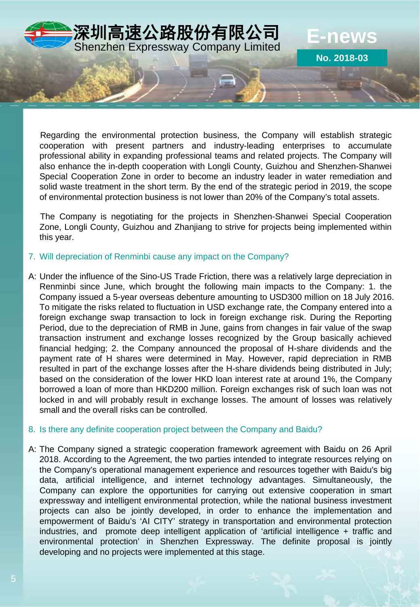

Regarding the environmental protection business, the Company will establish strategic cooperation with present partners and industry-leading enterprises to accumulate professional ability in expanding professional teams and related projects. The Company will also enhance the in-depth cooperation with Longli County, Guizhou and Shenzhen-Shanwei Special Cooperation Zone in order to become an industry leader in water remediation and solid waste treatment in the short term. By the end of the strategic period in 2019, the scope of environmental protection business is not lower than 20% of the Company's total assets.

The Company is negotiating for the projects in Shenzhen-Shanwei Special Cooperation Zone, Longli County, Guizhou and Zhanjiang to strive for projects being implemented within this year.

### 7. Will depreciation of Renminbi cause any impact on the Company?

A: Under the influence of the Sino-US Trade Friction, there was a relatively large depreciation in Renminbi since June, which brought the following main impacts to the Company: 1. the Company issued a 5-year overseas debenture amounting to USD300 million on 18 July 2016. To mitigate the risks related to fluctuation in USD exchange rate, the Company entered into a foreign exchange swap transaction to lock in foreign exchange risk. During the Reporting Period, due to the depreciation of RMB in June, gains from changes in fair value of the swap transaction instrument and exchange losses recognized by the Group basically achieved financial hedging; 2. the Company announced the proposal of H-share dividends and the payment rate of H shares were determined in May. However, rapid depreciation in RMB resulted in part of the exchange losses after the H-share dividends being distributed in July; based on the consideration of the lower HKD loan interest rate at around 1%, the Company borrowed a loan of more than HKD200 million. Foreign exchanges risk of such loan was not locked in and will probably result in exchange losses. The amount of losses was relatively small and the overall risks can be controlled.

## 8. Is there any definite cooperation project between the Company and Baidu?

A: The Company signed a strategic cooperation framework agreement with Baidu on 26 April 2018. According to the Agreement, the two parties intended to integrate resources relying on the Company's operational management experience and resources together with Baidu's big data, artificial intelligence, and internet technology advantages. Simultaneously, the Company can explore the opportunities for carrying out extensive cooperation in smart expressway and intelligent environmental protection, while the national business investment projects can also be jointly developed, in order to enhance the implementation and empowerment of Baidu's 'AI CITY' strategy in transportation and environmental protection industries, and promote deep intelligent application of 'artificial intelligence + traffic and environmental protection' in Shenzhen Expressway. The definite proposal is jointly developing and no projects were implemented at this stage.